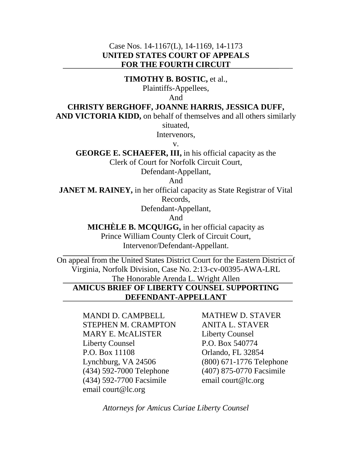### Case Nos. 14-1167(L), 14-1169, 14-1173 **UNITED STATES COURT OF APPEALS FOR THE FOURTH CIRCUIT**

**TIMOTHY B. BOSTIC,** et al.,

Plaintiffs-Appellees,

And

#### **CHRISTY BERGHOFF, JOANNE HARRIS, JESSICA DUFF,**

AND VICTORIA KIDD, on behalf of themselves and all others similarly

situated,

Intervenors,

v.

**GEORGE E. SCHAEFER, III,** in his official capacity as the Clerk of Court for Norfolk Circuit Court,

Defendant-Appellant,

And

**JANET M. RAINEY,** in her official capacity as State Registrar of Vital Records,

Defendant-Appellant,

And

**MICHÈLE B. MCQUIGG,** in her official capacity as Prince William County Clerk of Circuit Court, Intervenor/Defendant-Appellant.

On appeal from the United States District Court for the Eastern District of Virginia, Norfolk Division, Case No. 2:13-cv-00395-AWA-LRL The Honorable Arenda L. Wright Allen

# **AMICUS BRIEF OF LIBERTY COUNSEL SUPPORTING DEFENDANT-APPELLANT**

MANDI D. CAMPBELL STEPHEN M. CRAMPTON MARY E. McALISTER Liberty Counsel P.O. Box 11108 Lynchburg, VA 24506 (434) 592-7000 Telephone (434) 592-7700 Facsimile email court@lc.org

MATHEW D. STAVER ANITA L. STAVER Liberty Counsel P.O. Box 540774 Orlando, FL 32854 (800) 671-1776 Telephone (407) 875-0770 Facsimile email court@lc.org

*Attorneys for Amicus Curiae Liberty Counsel*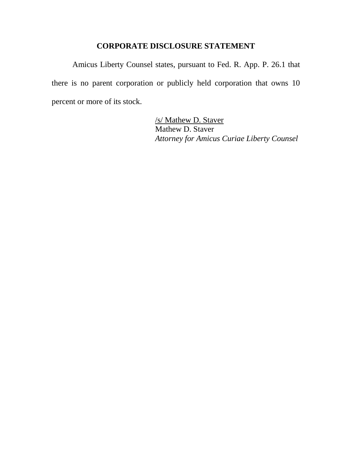### **CORPORATE DISCLOSURE STATEMENT**

Amicus Liberty Counsel states, pursuant to Fed. R. App. P. 26.1 that there is no parent corporation or publicly held corporation that owns 10 percent or more of its stock.

> Mathew D. Staver /s/ Mathew D. Staver *Attorney for Amicus Curiae Liberty Counsel*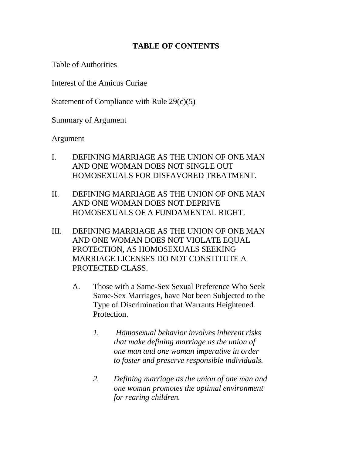# **TABLE OF CONTENTS**

Table of Authorities

Interest of the Amicus Curiae

Statement of Compliance with Rule 29(c)(5)

Summary of Argument

Argument

- I. DEFINING MARRIAGE AS THE UNION OF ONE MAN AND ONE WOMAN DOES NOT SINGLE OUT HOMOSEXUALS FOR DISFAVORED TREATMENT.
- II. DEFINING MARRIAGE AS THE UNION OF ONE MAN AND ONE WOMAN DOES NOT DEPRIVE HOMOSEXUALS OF A FUNDAMENTAL RIGHT.
- III. DEFINING MARRIAGE AS THE UNION OF ONE MAN AND ONE WOMAN DOES NOT VIOLATE EQUAL PROTECTION, AS HOMOSEXUALS SEEKING MARRIAGE LICENSES DO NOT CONSTITUTE A PROTECTED CLASS.
	- A. Those with a Same-Sex Sexual Preference Who Seek Same-Sex Marriages, have Not been Subjected to the Type of Discrimination that Warrants Heightened **Protection** 
		- *1. Homosexual behavior involves inherent risks that make defining marriage as the union of one man and one woman imperative in order to foster and preserve responsible individuals.*
		- *2. Defining marriage as the union of one man and one woman promotes the optimal environment for rearing children.*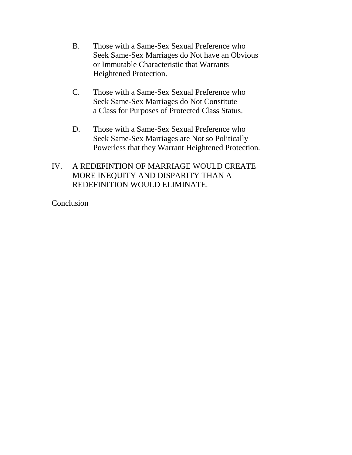- B. Those with a Same-Sex Sexual Preference who Seek Same-Sex Marriages do Not have an Obvious or Immutable Characteristic that Warrants Heightened Protection.
- C. Those with a Same-Sex Sexual Preference who Seek Same-Sex Marriages do Not Constitute a Class for Purposes of Protected Class Status.
- D. Those with a Same-Sex Sexual Preference who Seek Same-Sex Marriages are Not so Politically Powerless that they Warrant Heightened Protection*.*

# IV. A REDEFINTION OF MARRIAGE WOULD CREATE MORE INEQUITY AND DISPARITY THAN A REDEFINITION WOULD ELIMINATE.

**Conclusion**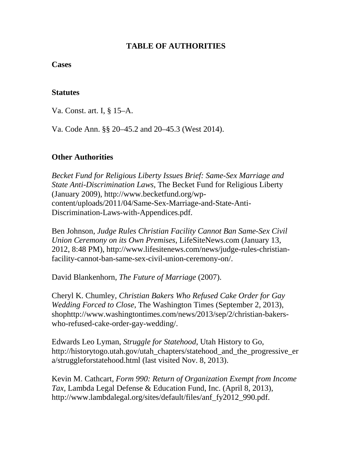### **TABLE OF AUTHORITIES**

#### **Cases**

### **Statutes**

Va. Const. art. I, § 15–A.

Va. Code Ann. §§ 20–45.2 and 20–45.3 (West 2014).

## **Other Authorities**

*Becket Fund for Religious Liberty Issues Brief: Same-Sex Marriage and State Anti-Discrimination Laws*, The Becket Fund for Religious Liberty (January 2009), http://www.becketfund.org/wpcontent/uploads/2011/04/Same-Sex-Marriage-and-State-Anti-Discrimination-Laws-with-Appendices.pdf.

Ben Johnson, *Judge Rules Christian Facility Cannot Ban Same-Sex Civil Union Ceremony on its Own Premises*, LifeSiteNews.com (January 13, 2012, 8:48 PM), http://www.lifesitenews.com/news/judge-rules-christianfacility-cannot-ban-same-sex-civil-union-ceremony-on/.

David Blankenhorn, *The Future of Marriage* (2007).

Cheryl K. Chumley, *Christian Bakers Who Refused Cake Order for Gay Wedding Forced to Close*, The Washington Times (September 2, 2013), shophttp://www.washingtontimes.com/news/2013/sep/2/christian-bakerswho-refused-cake-order-gay-wedding/.

Edwards Leo Lyman, *Struggle for Statehood*, Utah History to Go, http://historytogo.utah.gov/utah\_chapters/statehood\_and\_the\_progressive\_er a/struggleforstatehood.html (last visited Nov. 8, 2013).

Kevin M. Cathcart, *Form 990: Return of Organization Exempt from Income Tax,* Lambda Legal Defense & Education Fund, Inc. (April 8, 2013), http://www.lambdalegal.org/sites/default/files/anf\_fy2012\_990.pdf.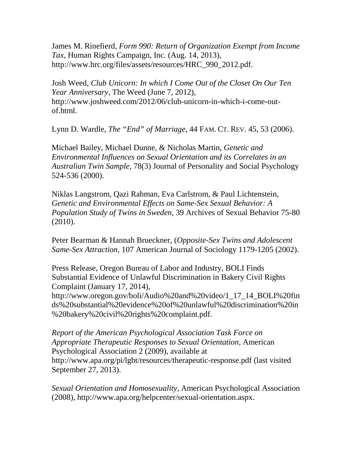James M. Rinefierd, *Form 990: Return of Organization Exempt from Income Tax*, Human Rights Campaign, Inc. (Aug. 14, 2013), http://www.hrc.org/files/assets/resources/HRC\_990\_2012.pdf.

Josh Weed, *Club Unicorn: In which I Come Out of the Closet On Our Ten Year Anniversary*, The Weed (June 7, 2012), http://www.joshweed.com/2012/06/club-unicorn-in-which-i-come-outof.html.

Lynn D. Wardle, *The "End" of Marriage*, 44 FAM. CT. REV. 45, 53 (2006).

Michael Bailey, Michael Dunne, & Nicholas Martin, *Genetic and Environmental Influences on Sexual Orientation and its Correlates in an Australian Twin Sample*, 78(3) Journal of Personality and Social Psychology 524-536 (2000).

Niklas Langstrom, Qazi Rahman, Eva Carlstrom, & Paul Lichtenstein, *Genetic and Environmental Effects on Same-Sex Sexual Behavior: A Population Study of Twins in Sweden,* 39 Archives of Sexual Behavior 75-80 (2010).

Peter Bearman & Hannah Brueckner, (*Opposite-Sex Twins and Adolescent Same-Sex Attraction,* 107 American Journal of Sociology 1179-1205 (2002).

Press Release, Oregon Bureau of Labor and Industry, BOLI Finds Substantial Evidence of Unlawful Discrimination in Bakery Civil Rights Complaint (January 17, 2014),

http://www.oregon.gov/boli/Audio%20and%20video/1\_17\_14\_BOLI%20fin ds%20substantial%20evidence%20of%20unlawful%20discrimination%20in %20bakery%20civil%20rights%20complaint.pdf.

*Report of the American Psychological Association Task Force on Appropriate Therapeutic Responses to Sexual Orientation,* American Psychological Association 2 (2009), available at http://www.apa.org/pi/lgbt/resources/therapeutic-response.pdf (last visited September 27, 2013).

*Sexual Orientation and Homosexuality,* American Psychological Association (2008), http://www.apa.org/helpcenter/sexual-orientation.aspx.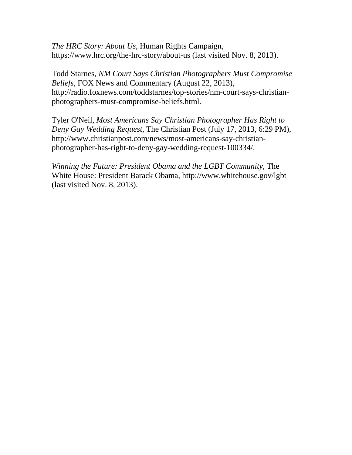*The HRC Story: About Us*, Human Rights Campaign, https://www.hrc.org/the-hrc-story/about-us (last visited Nov. 8, 2013).

Todd Starnes, *NM Court Says Christian Photographers Must Compromise Beliefs*, FOX News and Commentary (August 22, 2013), http://radio.foxnews.com/toddstarnes/top-stories/nm-court-says-christianphotographers-must-compromise-beliefs.html.

Tyler O'Neil, *Most Americans Say Christian Photographer Has Right to Deny Gay Wedding Request,* The Christian Post (July 17, 2013, 6:29 PM), http://www.christianpost.com/news/most-americans-say-christianphotographer-has-right-to-deny-gay-wedding-request-100334/.

*Winning the Future: President Obama and the LGBT Community*, The White House: President Barack Obama, http://www.whitehouse.gov/lgbt (last visited Nov. 8, 2013).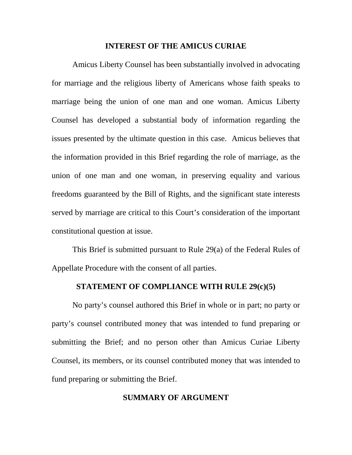#### **INTEREST OF THE AMICUS CURIAE**

Amicus Liberty Counsel has been substantially involved in advocating for marriage and the religious liberty of Americans whose faith speaks to marriage being the union of one man and one woman. Amicus Liberty Counsel has developed a substantial body of information regarding the issues presented by the ultimate question in this case. Amicus believes that the information provided in this Brief regarding the role of marriage, as the union of one man and one woman, in preserving equality and various freedoms guaranteed by the Bill of Rights, and the significant state interests served by marriage are critical to this Court's consideration of the important constitutional question at issue.

This Brief is submitted pursuant to Rule 29(a) of the Federal Rules of Appellate Procedure with the consent of all parties.

#### **STATEMENT OF COMPLIANCE WITH RULE 29(c)(5)**

No party's counsel authored this Brief in whole or in part; no party or party's counsel contributed money that was intended to fund preparing or submitting the Brief; and no person other than Amicus Curiae Liberty Counsel, its members, or its counsel contributed money that was intended to fund preparing or submitting the Brief.

#### **SUMMARY OF ARGUMENT**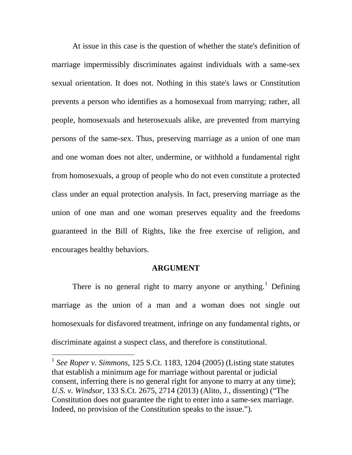At issue in this case is the question of whether the state's definition of marriage impermissibly discriminates against individuals with a same-sex sexual orientation. It does not. Nothing in this state's laws or Constitution prevents a person who identifies as a homosexual from marrying; rather, all people, homosexuals and heterosexuals alike, are prevented from marrying persons of the same-sex. Thus, preserving marriage as a union of one man and one woman does not alter, undermine, or withhold a fundamental right from homosexuals, a group of people who do not even constitute a protected class under an equal protection analysis. In fact, preserving marriage as the union of one man and one woman preserves equality and the freedoms guaranteed in the Bill of Rights, like the free exercise of religion, and encourages healthy behaviors.

#### **ARGUMENT**

There is no general right to marry anyone or anything.<sup>[1](#page-8-0)</sup> Defining marriage as the union of a man and a woman does not single out homosexuals for disfavored treatment, infringe on any fundamental rights, or discriminate against a suspect class, and therefore is constitutional.

<span id="page-8-0"></span> <sup>1</sup> *See Roper v. Simmons,* 125 S.Ct. 1183, 1204 (2005) (Listing state statutes that establish a minimum age for marriage without parental or judicial consent, inferring there is no general right for anyone to marry at any time); *U.S. v. Windsor,* 133 S.Ct. 2675, 2714 (2013) (Alito, J., dissenting) ("The Constitution does not guarantee the right to enter into a same-sex marriage. Indeed, no provision of the Constitution speaks to the issue.").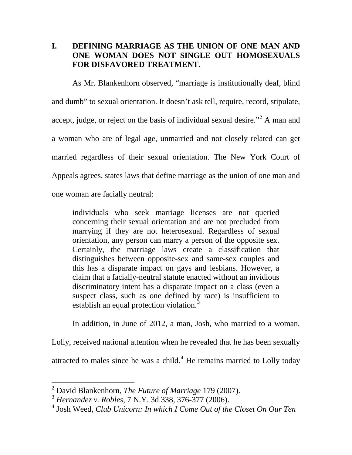# **I. DEFINING MARRIAGE AS THE UNION OF ONE MAN AND ONE WOMAN DOES NOT SINGLE OUT HOMOSEXUALS FOR DISFAVORED TREATMENT.**

As Mr. Blankenhorn observed, "marriage is institutionally deaf, blind and dumb" to sexual orientation. It doesn't ask tell, require, record, stipulate, accept, judge, or reject on the basis of individual sexual desire."<sup>[2](#page-9-0)</sup> A man and a woman who are of legal age, unmarried and not closely related can get married regardless of their sexual orientation. The New York Court of Appeals agrees, states laws that define marriage as the union of one man and one woman are facially neutral:

individuals who seek marriage licenses are not queried concerning their sexual orientation and are not precluded from marrying if they are not heterosexual. Regardless of sexual orientation, any person can marry a person of the opposite sex. Certainly, the marriage laws create a classification that distinguishes between opposite-sex and same-sex couples and this has a disparate impact on gays and lesbians. However, a claim that a facially-neutral statute enacted without an invidious discriminatory intent has a disparate impact on a class (even a suspect class, such as one defined by race) is insufficient to establish an equal protection violation.<sup>[3](#page-9-1)</sup>

In addition, in June of 2012, a man, Josh, who married to a woman,

Lolly, received national attention when he revealed that he has been sexually attracted to males since he was a child. $4$  He remains married to Lolly today

<span id="page-9-0"></span> <sup>2</sup> David Blankenhorn, *The Future of Marriage* 179 (2007).

<span id="page-9-1"></span><sup>3</sup> *Hernandez v. Robles,* 7 N.Y. 3d 338, 376-377 (2006).

<span id="page-9-2"></span><sup>4</sup> Josh Weed, *Club Unicorn: In which I Come Out of the Closet On Our Ten*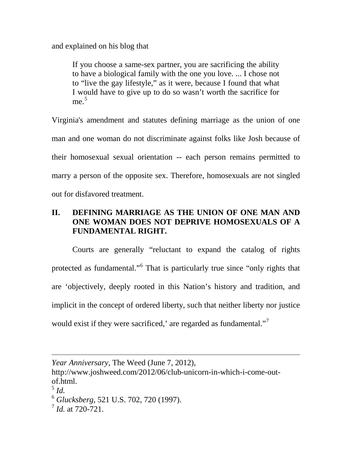and explained on his blog that

If you choose a same-sex partner, you are sacrificing the ability to have a biological family with the one you love. ... I chose not to "live the gay lifestyle," as it were, because I found that what I would have to give up to do so wasn't worth the sacrifice for  $me<sup>5</sup>$  $me<sup>5</sup>$  $me<sup>5</sup>$ 

Virginia's amendment and statutes defining marriage as the union of one man and one woman do not discriminate against folks like Josh because of their homosexual sexual orientation -- each person remains permitted to marry a person of the opposite sex. Therefore, homosexuals are not singled out for disfavored treatment.

# **II. DEFINING MARRIAGE AS THE UNION OF ONE MAN AND ONE WOMAN DOES NOT DEPRIVE HOMOSEXUALS OF A FUNDAMENTAL RIGHT.**

Courts are generally "reluctant to expand the catalog of rights protected as fundamental."[6](#page-10-1) That is particularly true since "only rights that are 'objectively, deeply rooted in this Nation's history and tradition, and implicit in the concept of ordered liberty, such that neither liberty nor justice would exist if they were sacrificed,' are regarded as fundamental."<sup>[7](#page-10-2)</sup>

 $\overline{a}$ 

*Year Anniversary*, The Weed (June 7, 2012),

http://www.joshweed.com/2012/06/club-unicorn-in-which-i-come-outof.html.

<span id="page-10-0"></span> $^5$  *Id.* 

<span id="page-10-1"></span><sup>6</sup> *Glucksberg*, 521 U.S. 702, 720 (1997).

<span id="page-10-2"></span><sup>7</sup> *Id.* at 720-721.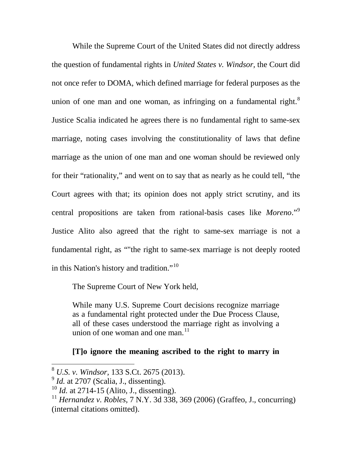While the Supreme Court of the United States did not directly address the question of fundamental rights in *United States v. Windsor,* the Court did not once refer to DOMA, which defined marriage for federal purposes as the union of one man and one woman, as infringing on a fundamental right. $8$ Justice Scalia indicated he agrees there is no fundamental right to same-sex marriage, noting cases involving the constitutionality of laws that define marriage as the union of one man and one woman should be reviewed only for their "rationality," and went on to say that as nearly as he could tell, "the Court agrees with that; its opinion does not apply strict scrutiny, and its central propositions are taken from rational-basis cases like *Moreno*."[9](#page-11-1) Justice Alito also agreed that the right to same-sex marriage is not a fundamental right, as ""the right to same-sex marriage is not deeply rooted in this Nation's history and tradition."[10](#page-11-2)

The Supreme Court of New York held,

While many U.S. Supreme Court decisions recognize marriage as a fundamental right protected under the Due Process Clause, all of these cases understood the marriage right as involving a union of one woman and one man. $^{11}$  $^{11}$  $^{11}$ 

## **[T]o ignore the meaning ascribed to the right to marry in**

<span id="page-11-0"></span> <sup>8</sup> *U.S. v. Windsor,* 133 S.Ct. 2675 (2013).

<span id="page-11-1"></span> $<sup>9</sup>$  *Id.* at 2707 (Scalia, J., dissenting).</sup>

<span id="page-11-2"></span><sup>10</sup> *Id.* at 2714-15 (Alito, J., dissenting).

<span id="page-11-3"></span><sup>11</sup> *Hernandez v. Robles,* 7 N.Y. 3d 338, 369 (2006) (Graffeo, J., concurring) (internal citations omitted).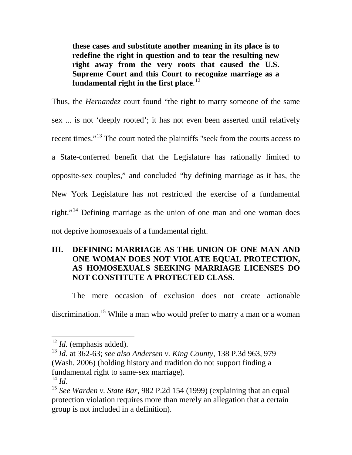**these cases and substitute another meaning in its place is to redefine the right in question and to tear the resulting new right away from the very roots that caused the U.S. Supreme Court and this Court to recognize marriage as a fundamental right in the first place**. [12](#page-12-0)

Thus, the *Hernandez* court found "the right to marry someone of the same sex ... is not 'deeply rooted'; it has not even been asserted until relatively recent times."<sup>[13](#page-12-1)</sup> The court noted the plaintiffs "seek from the courts access to a State-conferred benefit that the Legislature has rationally limited to opposite-sex couples," and concluded "by defining marriage as it has, the New York Legislature has not restricted the exercise of a fundamental right."<sup>[14](#page-12-2)</sup> Defining marriage as the union of one man and one woman does not deprive homosexuals of a fundamental right.

# **III. DEFINING MARRIAGE AS THE UNION OF ONE MAN AND ONE WOMAN DOES NOT VIOLATE EQUAL PROTECTION, AS HOMOSEXUALS SEEKING MARRIAGE LICENSES DO NOT CONSTITUTE A PROTECTED CLASS.**

The mere occasion of exclusion does not create actionable

discrimination.<sup>[15](#page-12-3)</sup> While a man who would prefer to marry a man or a woman

<span id="page-12-0"></span> <sup>12</sup> *Id.* (emphasis added).

<span id="page-12-1"></span><sup>13</sup> *Id.* at 362-63; *see also Andersen v. King County,* 138 P.3d 963, 979 (Wash. 2006) (holding history and tradition do not support finding a fundamental right to same-sex marriage).<br> $^{14}$  *Id.* 

<span id="page-12-3"></span><span id="page-12-2"></span><sup>&</sup>lt;sup>15</sup> See Warden v. State Bar, 982 P.2d 154 (1999) (explaining that an equal protection violation requires more than merely an allegation that a certain group is not included in a definition).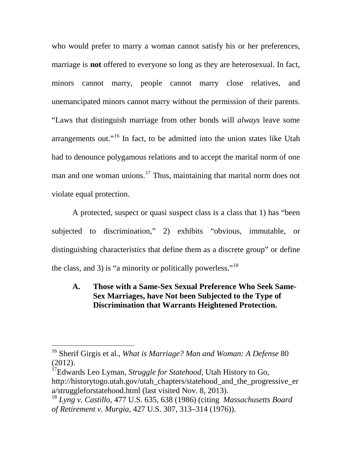who would prefer to marry a woman cannot satisfy his or her preferences, marriage is **not** offered to everyone so long as they are heterosexual. In fact, minors cannot marry, people cannot marry close relatives, and unemancipated minors cannot marry without the permission of their parents. "Laws that distinguish marriage from other bonds will *always* leave some arrangements out."<sup>[16](#page-13-0)</sup> In fact, to be admitted into the union states like Utah had to denounce polygamous relations and to accept the marital norm of one man and one woman unions.<sup>[17](#page-13-1)</sup> Thus, maintaining that marital norm does not violate equal protection.

A protected, suspect or quasi suspect class is a class that 1) has "been subjected to discrimination," 2) exhibits "obvious, immutable, or distinguishing characteristics that define them as a discrete group" or define the class, and 3) is "a minority or politically powerless."<sup>[18](#page-13-2)</sup>

# **A. Those with a Same-Sex Sexual Preference Who Seek Same-Sex Marriages, have Not been Subjected to the Type of Discrimination that Warrants Heightened Protection.**

<span id="page-13-0"></span> <sup>16</sup> Sherif Girgis et al., *What is Marriage? Man and Woman: A Defense* <sup>80</sup> (2012).

<span id="page-13-1"></span><sup>17</sup>Edwards Leo Lyman, *Struggle for Statehood*, Utah History to Go, http://historytogo.utah.gov/utah\_chapters/statehood\_and\_the\_progressive\_er a/struggleforstatehood.html (last visited Nov. 8, 2013).

<span id="page-13-2"></span><sup>18</sup> *Lyng v. Castillo*, 477 U.S. 635, 638 (1986) (citing *Massachusetts Board of Retirement v. Murgia,* 427 U.S. 307, 313–314 (1976)).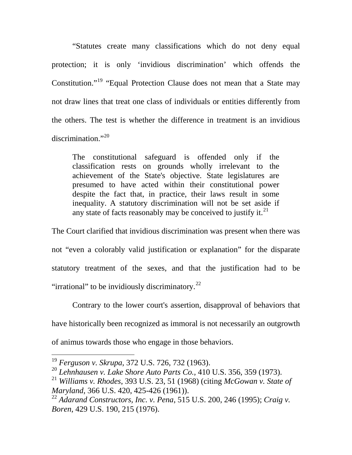"Statutes create many classifications which do not deny equal protection; it is only 'invidious discrimination' which offends the Constitution."[19](#page-14-0) "Equal Protection Clause does not mean that a State may not draw lines that treat one class of individuals or entities differently from the others. The test is whether the difference in treatment is an invidious discrimination." $^{20}$  $^{20}$  $^{20}$ 

The constitutional safeguard is offended only if the classification rests on grounds wholly irrelevant to the achievement of the State's objective. State legislatures are presumed to have acted within their constitutional power despite the fact that, in practice, their laws result in some inequality. A statutory discrimination will not be set aside if any state of facts reasonably may be conceived to justify it.<sup>[21](#page-14-2)</sup>

The Court clarified that invidious discrimination was present when there was not "even a colorably valid justification or explanation" for the disparate statutory treatment of the sexes, and that the justification had to be "irrational" to be invidiously discriminatory. $^{22}$  $^{22}$  $^{22}$ 

Contrary to the lower court's assertion, disapproval of behaviors that have historically been recognized as immoral is not necessarily an outgrowth of animus towards those who engage in those behaviors.

<span id="page-14-0"></span> <sup>19</sup> *Ferguson v. Skrupa*, 372 U.S. 726, 732 (1963).

<span id="page-14-1"></span><sup>20</sup> *Lehnhausen v. Lake Shore Auto Parts Co.,* 410 U.S. 356, 359 (1973).

<span id="page-14-2"></span><sup>21</sup> *Williams v. Rhodes*, 393 U.S. 23, 51 (1968) (citing *McGowan v. State of Maryland*, 366 U.S. 420, 425-426 (1961)).

<span id="page-14-3"></span><sup>22</sup> *Adarand Constructors, Inc. v. Pena*, 515 U.S. 200, 246 (1995); *Craig v. Boren*, 429 U.S. 190, 215 (1976).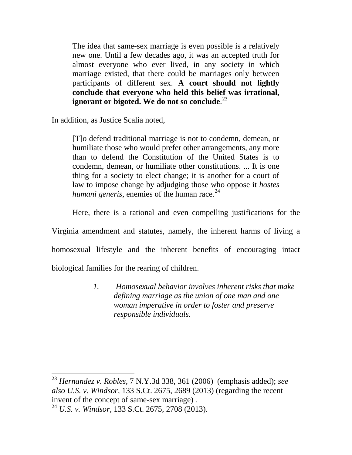The idea that same-sex marriage is even possible is a relatively new one. Until a few decades ago, it was an accepted truth for almost everyone who ever lived, in any society in which marriage existed, that there could be marriages only between participants of different sex. **A court should not lightly conclude that everyone who held this belief was irrational, ignorant or bigoted. We do not so conclude**. [23](#page-15-0)

In addition, as Justice Scalia noted,

[T]o defend traditional marriage is not to condemn, demean, or humiliate those who would prefer other arrangements, any more than to defend the Constitution of the United States is to condemn, demean, or humiliate other constitutions. ... It is one thing for a society to elect change; it is another for a court of law to impose change by adjudging those who oppose it *hostes humani generis*, enemies of the human race.<sup>[24](#page-15-1)</sup>

Here, there is a rational and even compelling justifications for the

Virginia amendment and statutes, namely, the inherent harms of living a homosexual lifestyle and the inherent benefits of encouraging intact

biological families for the rearing of children.

*1. Homosexual behavior involves inherent risks that make defining marriage as the union of one man and one woman imperative in order to foster and preserve responsible individuals.*

<span id="page-15-0"></span> <sup>23</sup> *Hernandez v. Robles,* 7 N.Y.3d 338, 361 (2006) (emphasis added); *see also U.S. v. Windsor,* 133 S.Ct. 2675, 2689 (2013) (regarding the recent invent of the concept of same-sex marriage) *.* <sup>24</sup> *U.S. v. Windsor,* 133 S.Ct. 2675, 2708 (2013).

<span id="page-15-1"></span>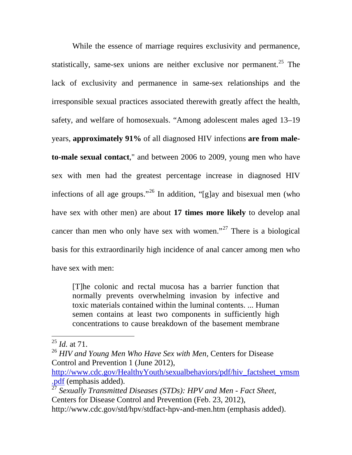While the essence of marriage requires exclusivity and permanence, statistically, same-sex unions are neither exclusive nor permanent.<sup>[25](#page-16-0)</sup> The lack of exclusivity and permanence in same-sex relationships and the irresponsible sexual practices associated therewith greatly affect the health, safety, and welfare of homosexuals. "Among adolescent males aged 13–19 years, **approximately 91%** of all diagnosed HIV infections **are from maleto-male sexual contact**," and between 2006 to 2009, young men who have sex with men had the greatest percentage increase in diagnosed HIV infections of all age groups."<sup>[26](#page-16-1)</sup> In addition, "[g]ay and bisexual men (who have sex with other men) are about **17 times more likely** to develop anal cancer than men who only have sex with women."<sup>[27](#page-16-2)</sup> There is a biological basis for this extraordinarily high incidence of anal cancer among men who have sex with men:

[T]he colonic and rectal mucosa has a barrier function that normally prevents overwhelming invasion by infective and toxic materials contained within the luminal contents. ... Human semen contains at least two components in sufficiently high concentrations to cause breakdown of the basement membrane

<span id="page-16-0"></span> <sup>25</sup> *Id.* at 71.

<span id="page-16-1"></span><sup>26</sup> *HIV and Young Men Who Have Sex with Men,* Centers for Disease Control and Prevention 1 (June 2012),

[http://www.cdc.gov/HealthyYouth/sexualbehaviors/pdf/hiv\\_factsheet\\_ymsm](http://www.cdc.gov/HealthyYouth/sexualbehaviors/pdf/hiv_factsheet_ymsm.pdf) [.pdf](http://www.cdc.gov/HealthyYouth/sexualbehaviors/pdf/hiv_factsheet_ymsm.pdf) (emphasis added).

<span id="page-16-2"></span><sup>27</sup> *Sexually Transmitted Diseases (STDs): HPV and Men - Fact Sheet*, Centers for Disease Control and Prevention (Feb. 23, 2012), http://www.cdc.gov/std/hpv/stdfact-hpv-and-men.htm (emphasis added).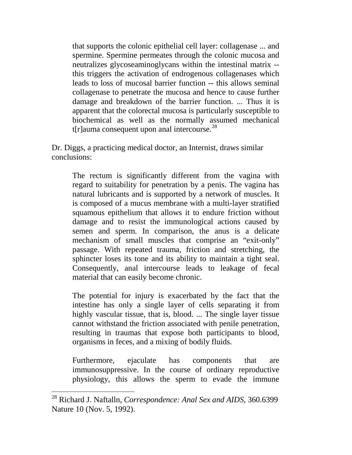that supports the colonic epithelial cell layer: collagenase ... and spermine. Spermine permeates through the colonic mucosa and neutralizes glycoseaminoglycans within the intestinal matrix - this triggers the activation of endrogenous collagenases which leads to loss of mucosal barrier function -- this allows seminal collagenase to penetrate the mucosa and hence to cause further damage and breakdown of the barrier function. ... Thus it is apparent that the colorectal mucosa is particularly susceptible to biochemical as well as the normally assumed mechanical t[r]auma consequent upon anal intercourse. $^{28}$  $^{28}$  $^{28}$ 

Dr. Diggs, a practicing medical doctor, an Internist, draws similar conclusions:

The rectum is significantly different from the vagina with regard to suitability for penetration by a penis. The vagina has natural lubricants and is supported by a network of muscles. It is composed of a mucus membrane with a multi-layer stratified squamous epithelium that allows it to endure friction without damage and to resist the immunological actions caused by semen and sperm. In comparison, the anus is a delicate mechanism of small muscles that comprise an "exit-only" passage. With repeated trauma, friction and stretching, the sphincter loses its tone and its ability to maintain a tight seal. Consequently, anal intercourse leads to leakage of fecal material that can easily become chronic.

The potential for injury is exacerbated by the fact that the intestine has only a single layer of cells separating it from highly vascular tissue, that is, blood. ... The single layer tissue cannot withstand the friction associated with penile penetration, resulting in traumas that expose both participants to blood, organisms in feces, and a mixing of bodily fluids.

Furthermore, ejaculate has components that are immunosuppressive. In the course of ordinary reproductive physiology, this allows the sperm to evade the immune

<span id="page-17-0"></span> <sup>28</sup> Richard J. Naftalln, *Correspondence: Anal Sex and AIDS,* 360.6399 Nature 10 (Nov. 5, 1992).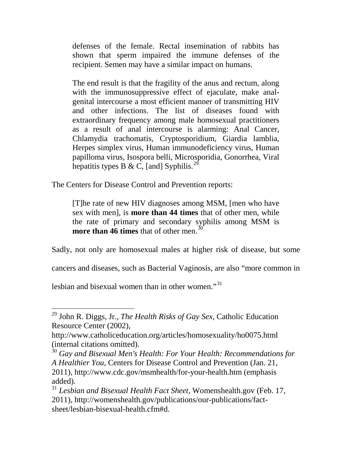defenses of the female. Rectal insemination of rabbits has shown that sperm impaired the immune defenses of the recipient. Semen may have a similar impact on humans.

The end result is that the fragility of the anus and rectum, along with the immunosuppressive effect of ejaculate, make analgenital intercourse a most efficient manner of transmitting HIV and other infections. The list of diseases found with extraordinary frequency among male homosexual practitioners as a result of anal intercourse is alarming: Anal Cancer, Chlamydia trachomatis, Cryptosporidium, Giardia lamblia, Herpes simplex virus, Human immunodeficiency virus, Human papilloma virus, Isospora belli, Microsporidia, Gonorrhea, Viral hepatitis types B & C, [and] Syphilis.<sup>[29](#page-18-0)</sup>

The Centers for Disease Control and Prevention reports:

[T]he rate of new HIV diagnoses among MSM, [men who have sex with men], is **more than 44 times** that of other men, while the rate of primary and secondary syphilis among MSM is **more than 46 times** that of other men. [30](#page-18-1)

Sadly, not only are homosexual males at higher risk of disease, but some

cancers and diseases, such as Bacterial Vaginosis, are also "more common in

lesbian and bisexual women than in other women."<sup>[31](#page-18-2)</sup>

<span id="page-18-0"></span> <sup>29</sup> John R. Diggs, Jr., *The Health Risks of Gay Sex,* Catholic Education Resource Center (2002),

http://www.catholiceducation.org/articles/homosexuality/ho0075.html (internal citations omitted).

<span id="page-18-1"></span><sup>&</sup>lt;sup>30</sup> Gay and Bisexual Men's Health: For Your Health: Recommendations for *A Healthier You,* Centers for Disease Control and Prevention (Jan. 21, 2011), http://www.cdc.gov/msmhealth/for-your-health.htm (emphasis added).

<span id="page-18-2"></span><sup>31</sup> *Lesbian and Bisexual Health Fact Sheet*, Womenshealth.gov (Feb. 17, 2011), http://womenshealth.gov/publications/our-publications/factsheet/lesbian-bisexual-health.cfm#d.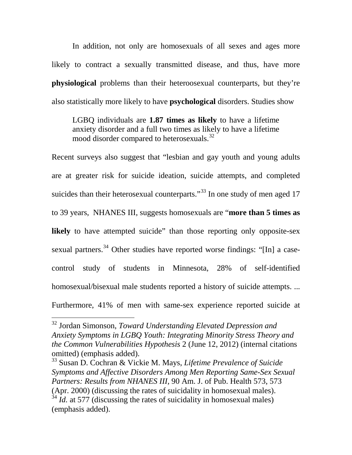In addition, not only are homosexuals of all sexes and ages more likely to contract a sexually transmitted disease, and thus, have more **physiological** problems than their heteroosexual counterparts, but they're also statistically more likely to have **psychological** disorders. Studies show

LGBQ individuals are **1.87 times as likely** to have a lifetime anxiety disorder and a full two times as likely to have a lifetime mood disorder compared to heterosexuals.<sup>[32](#page-19-0)</sup>

Recent surveys also suggest that "lesbian and gay youth and young adults are at greater risk for suicide ideation, suicide attempts, and completed suicides than their heterosexual counterparts."<sup>[33](#page-19-1)</sup> In one study of men aged 17 to 39 years, NHANES III, suggests homosexuals are "**more than 5 times as**  likely to have attempted suicide" than those reporting only opposite-sex sexual partners.<sup>[34](#page-19-2)</sup> Other studies have reported worse findings: "[In] a casecontrol study of students in Minnesota, 28% of self-identified homosexual/bisexual male students reported a history of suicide attempts. ... Furthermore, 41% of men with same-sex experience reported suicide at

<span id="page-19-0"></span> <sup>32</sup> Jordan Simonson, *Toward Understanding Elevated Depression and Anxiety Symptoms in LGBQ Youth: Integrating Minority Stress Theory and the Common Vulnerabilities Hypothesis* 2 (June 12, 2012) (internal citations omitted) (emphasis added).

<span id="page-19-2"></span><span id="page-19-1"></span><sup>33</sup> Susan D. Cochran & Vickie M. Mays, *Lifetime Prevalence of Suicide Symptoms and Affective Disorders Among Men Reporting Same-Sex Sexual Partners: Results from NHANES III,* 90 Am. J. of Pub. Health 573, 573 (Apr. 2000) (discussing the rates of suicidality in homosexual males).  $34$  *Id.* at 577 (discussing the rates of suicidality in homosexual males) (emphasis added).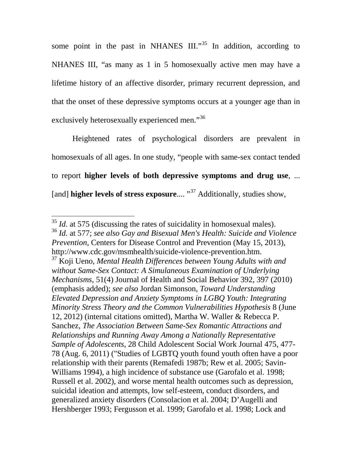some point in the past in NHANES  $III.^{35}$  $III.^{35}$  $III.^{35}$  In addition, according to NHANES III, "as many as 1 in 5 homosexually active men may have a lifetime history of an affective disorder, primary recurrent depression, and that the onset of these depressive symptoms occurs at a younger age than in exclusively heterosexually experienced men."<sup>[36](#page-20-1)</sup>

Heightened rates of psychological disorders are prevalent in homosexuals of all ages. In one study, "people with same-sex contact tended to report **higher levels of both depressive symptoms and drug use**, ... [and] **higher levels of stress exposure....** "<sup>[37](#page-20-2)</sup> Additionally, studies show,

<span id="page-20-0"></span><sup>&</sup>lt;sup>35</sup> *Id.* at 575 (discussing the rates of suicidality in homosexual males).

<span id="page-20-1"></span><sup>36</sup> *Id.* at 577; *see also Gay and Bisexual Men's Health: Suicide and Violence Prevention,* Centers for Disease Control and Prevention (May 15, 2013), http://www.cdc.gov/msmhealth/suicide-violence-prevention.htm.

<span id="page-20-2"></span><sup>37</sup> Koji Ueno, *Mental Health Differences between Young Adults with and without Same-Sex Contact: A Simulaneous Examination of Underlying Mechanisms,* 51(4) Journal of Health and Social Behavior 392, 397 (2010) (emphasis added); *see also* Jordan Simonson, *Toward Understanding Elevated Depression and Anxiety Symptoms in LGBQ Youth: Integrating Minority Stress Theory and the Common Vulnerabilities Hypothesis* 8 (June 12, 2012) (internal citations omitted), Martha W. Waller & Rebecca P. Sanchez, *The Association Between Same-Sex Romantic Attractions and Relationships and Running Away Among a Nationally Representative Sample of Adolescents*, 28 Child Adolescent Social Work Journal 475, 477- 78 (Aug. 6, 2011) ("Studies of LGBTQ youth found youth often have a poor relationship with their parents (Remafedi 1987b; Rew et al. 2005; Savin-Williams 1994), a high incidence of substance use (Garofalo et al. 1998; Russell et al. 2002), and worse mental health outcomes such as depression, suicidal ideation and attempts, low self-esteem, conduct disorders, and generalized anxiety disorders (Consolacion et al. 2004; D'Augelli and Hershberger 1993; Fergusson et al. 1999; Garofalo et al. 1998; Lock and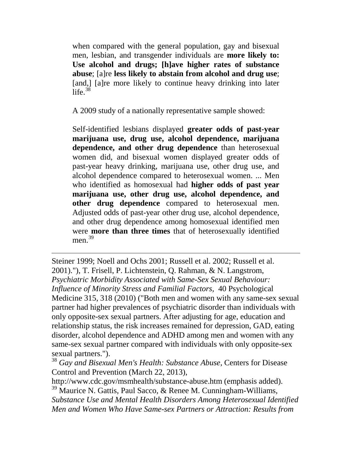when compared with the general population, gay and bisexual men, lesbian, and transgender individuals are **more likely to: Use alcohol and drugs; [h]ave higher rates of substance abuse**; [a]re **less likely to abstain from alcohol and drug use**; [and,] [a]re more likely to continue heavy drinking into later life. $38$ 

A 2009 study of a nationally representative sample showed:

Self-identified lesbians displayed **greater odds of past-year marijuana use, drug use, alcohol dependence, marijuana dependence, and other drug dependence** than heterosexual women did, and bisexual women displayed greater odds of past-year heavy drinking, marijuana use, other drug use, and alcohol dependence compared to heterosexual women. ... Men who identified as homosexual had **higher odds of past year marijuana use, other drug use, alcohol dependence, and other drug dependence** compared to heterosexual men. Adjusted odds of past-year other drug use, alcohol dependence, and other drug dependence among homosexual identified men were **more than three times** that of heterosexually identified men. $39$ 

Steiner 1999; Noell and Ochs 2001; Russell et al. 2002; Russell et al. 2001)."), T. Frisell, P. Lichtenstein, Q. Rahman, & N. Langstrom, *Psychiatric Morbidity Associated with Same-Sex Sexual Behaviour: Influence of Minority Stress and Familial Factors,* 40 Psychological Medicine 315, 318 (2010) ("Both men and women with any same-sex sexual partner had higher prevalences of psychiatric disorder than individuals with only opposite-sex sexual partners. After adjusting for age, education and relationship status, the risk increases remained for depression, GAD, eating disorder, alcohol dependence and ADHD among men and women with any same-sex sexual partner compared with individuals with only opposite-sex sexual partners.").

 $\overline{a}$ 

<span id="page-21-0"></span><sup>38</sup> Gay and Bisexual Men's Health: Substance Abuse, Centers for Disease Control and Prevention (March 22, 2013),

http://www.cdc.gov/msmhealth/substance-abuse.htm (emphasis added).

<span id="page-21-1"></span> $39$  Maurice N. Gattis, Paul Sacco, & Renee M. Cunningham-Williams, *Substance Use and Mental Health Disorders Among Heterosexual Identified Men and Women Who Have Same-sex Partners or Attraction: Results from*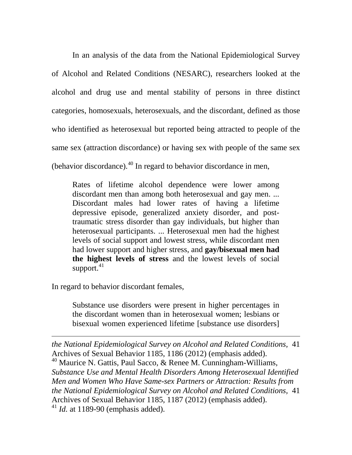In an analysis of the data from the National Epidemiological Survey of Alcohol and Related Conditions (NESARC), researchers looked at the alcohol and drug use and mental stability of persons in three distinct categories, homosexuals, heterosexuals, and the discordant, defined as those who identified as heterosexual but reported being attracted to people of the same sex (attraction discordance) or having sex with people of the same sex (behavior discordance). $40$  In regard to behavior discordance in men,

Rates of lifetime alcohol dependence were lower among discordant men than among both heterosexual and gay men. ... Discordant males had lower rates of having a lifetime depressive episode, generalized anxiety disorder, and posttraumatic stress disorder than gay individuals, but higher than heterosexual participants. ... Heterosexual men had the highest levels of social support and lowest stress, while discordant men had lower support and higher stress, and **gay/bisexual men had the highest levels of stress** and the lowest levels of social support.<sup>[41](#page-22-1)</sup>

In regard to behavior discordant females,

 $\overline{a}$ 

Substance use disorders were present in higher percentages in the discordant women than in heterosexual women; lesbians or bisexual women experienced lifetime [substance use disorders]

<span id="page-22-1"></span><span id="page-22-0"></span>*the National Epidemiological Survey on Alcohol and Related Conditions,* 41 Archives of Sexual Behavior 1185, 1186 (2012) (emphasis added).  $40$  Maurice N. Gattis, Paul Sacco, & Renee M. Cunningham-Williams, *Substance Use and Mental Health Disorders Among Heterosexual Identified Men and Women Who Have Same-sex Partners or Attraction: Results from the National Epidemiological Survey on Alcohol and Related Conditions,* 41 Archives of Sexual Behavior 1185, 1187 (2012) (emphasis added). <sup>41</sup> *Id.* at 1189-90 (emphasis added).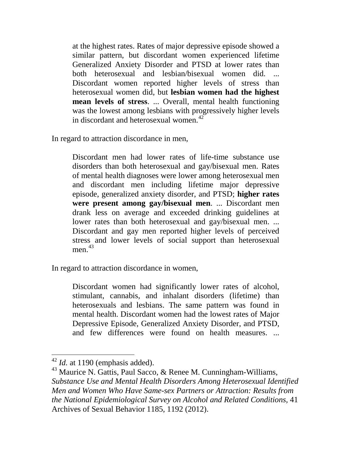at the highest rates. Rates of major depressive episode showed a similar pattern, but discordant women experienced lifetime Generalized Anxiety Disorder and PTSD at lower rates than both heterosexual and lesbian/bisexual women did. ... Discordant women reported higher levels of stress than heterosexual women did, but **lesbian women had the highest mean levels of stress**. ... Overall, mental health functioning was the lowest among lesbians with progressively higher levels in discordant and heterosexual women. $42$ 

In regard to attraction discordance in men,

Discordant men had lower rates of life-time substance use disorders than both heterosexual and gay/bisexual men. Rates of mental health diagnoses were lower among heterosexual men and discordant men including lifetime major depressive episode, generalized anxiety disorder, and PTSD; **higher rates were present among gay/bisexual men**. ... Discordant men drank less on average and exceeded drinking guidelines at lower rates than both heterosexual and gay/bisexual men. ... Discordant and gay men reported higher levels of perceived stress and lower levels of social support than heterosexual men $43$ 

In regard to attraction discordance in women,

Discordant women had significantly lower rates of alcohol, stimulant, cannabis, and inhalant disorders (lifetime) than heterosexuals and lesbians. The same pattern was found in mental health. Discordant women had the lowest rates of Major Depressive Episode, Generalized Anxiety Disorder, and PTSD, and few differences were found on health measures. ...

<span id="page-23-0"></span><sup>&</sup>lt;sup>42</sup> *Id.* at 1190 (emphasis added).

<span id="page-23-1"></span><sup>&</sup>lt;sup>43</sup> Maurice N. Gattis, Paul Sacco, & Renee M. Cunningham-Williams, *Substance Use and Mental Health Disorders Among Heterosexual Identified Men and Women Who Have Same-sex Partners or Attraction: Results from the National Epidemiological Survey on Alcohol and Related Conditions,* 41 Archives of Sexual Behavior 1185, 1192 (2012).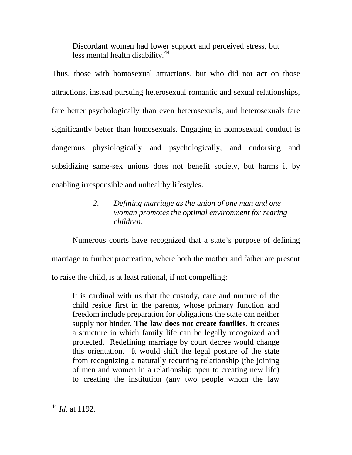Discordant women had lower support and perceived stress, but less mental health disability.<sup>[44](#page-24-0)</sup>

Thus, those with homosexual attractions, but who did not **act** on those attractions, instead pursuing heterosexual romantic and sexual relationships, fare better psychologically than even heterosexuals, and heterosexuals fare significantly better than homosexuals. Engaging in homosexual conduct is dangerous physiologically and psychologically, and endorsing and subsidizing same-sex unions does not benefit society, but harms it by enabling irresponsible and unhealthy lifestyles.

# *2. Defining marriage as the union of one man and one woman promotes the optimal environment for rearing children.*

Numerous courts have recognized that a state's purpose of defining marriage to further procreation, where both the mother and father are present to raise the child, is at least rational, if not compelling:

It is cardinal with us that the custody, care and nurture of the child reside first in the parents, whose primary function and freedom include preparation for obligations the state can neither supply nor hinder. **The law does not create families**, it creates a structure in which family life can be legally recognized and protected. Redefining marriage by court decree would change this orientation. It would shift the legal posture of the state from recognizing a naturally recurring relationship (the joining of men and women in a relationship open to creating new life) to creating the institution (any two people whom the law

<span id="page-24-0"></span> <sup>44</sup> *Id.* at 1192.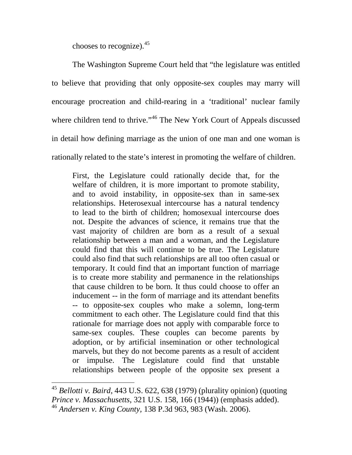chooses to recognize). [45](#page-25-0)

The Washington Supreme Court held that "the legislature was entitled to believe that providing that only opposite-sex couples may marry will encourage procreation and child-rearing in a 'traditional' nuclear family where children tend to thrive."<sup>[46](#page-25-1)</sup> The New York Court of Appeals discussed in detail how defining marriage as the union of one man and one woman is rationally related to the state's interest in promoting the welfare of children.

First, the Legislature could rationally decide that, for the welfare of children, it is more important to promote stability, and to avoid instability, in opposite-sex than in same-sex relationships. Heterosexual intercourse has a natural tendency to lead to the birth of children; homosexual intercourse does not. Despite the advances of science, it remains true that the vast majority of children are born as a result of a sexual relationship between a man and a woman, and the Legislature could find that this will continue to be true. The Legislature could also find that such relationships are all too often casual or temporary. It could find that an important function of marriage is to create more stability and permanence in the relationships that cause children to be born. It thus could choose to offer an inducement -- in the form of marriage and its attendant benefits -- to opposite-sex couples who make a solemn, long-term commitment to each other. The Legislature could find that this rationale for marriage does not apply with comparable force to same-sex couples. These couples can become parents by adoption, or by artificial insemination or other technological marvels, but they do not become parents as a result of accident or impulse. The Legislature could find that unstable relationships between people of the opposite sex present a

<span id="page-25-1"></span><span id="page-25-0"></span> <sup>45</sup> *Bellotti v. Baird*, 443 U.S. 622, 638 (1979) (plurality opinion) (quoting *Prince v. Massachusetts*, 321 U.S. 158, 166 (1944)) (emphasis added). <sup>46</sup> *Andersen v. King County,* 138 P.3d 963, 983 (Wash. 2006).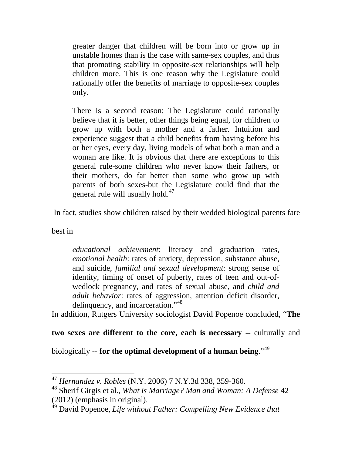greater danger that children will be born into or grow up in unstable homes than is the case with same-sex couples, and thus that promoting stability in opposite-sex relationships will help children more. This is one reason why the Legislature could rationally offer the benefits of marriage to opposite-sex couples only.

There is a second reason: The Legislature could rationally believe that it is better, other things being equal, for children to grow up with both a mother and a father. Intuition and experience suggest that a child benefits from having before his or her eyes, every day, living models of what both a man and a woman are like. It is obvious that there are exceptions to this general rule-some children who never know their fathers, or their mothers, do far better than some who grow up with parents of both sexes-but the Legislature could find that the general rule will usually hold.<sup>[47](#page-26-0)</sup>

In fact, studies show children raised by their wedded biological parents fare

best in

*educational achievement*: literacy and graduation rates, *emotional health*: rates of anxiety, depression, substance abuse, and suicide, *familial and sexual development*: strong sense of identity, timing of onset of puberty, rates of teen and out-ofwedlock pregnancy, and rates of sexual abuse, and *child and adult behavior*: rates of aggression, attention deficit disorder, delinquency, and incarceration."[48](#page-26-1)

In addition, Rutgers University sociologist David Popenoe concluded, "**The** 

### **two sexes are different to the core, each is necessary** -- culturally and

biologically -- **for the optimal development of a human being**."[49](#page-26-2)

<span id="page-26-0"></span> <sup>47</sup> *Hernandez v. Robles* (N.Y. 2006) 7 N.Y.3d 338, 359-360.

<span id="page-26-1"></span><sup>48</sup> Sherif Girgis et al., *What is Marriage? Man and Woman: A Defense* 42 (2012) (emphasis in original).

<span id="page-26-2"></span><sup>49</sup> David Popenoe, *Life without Father: Compelling New Evidence that*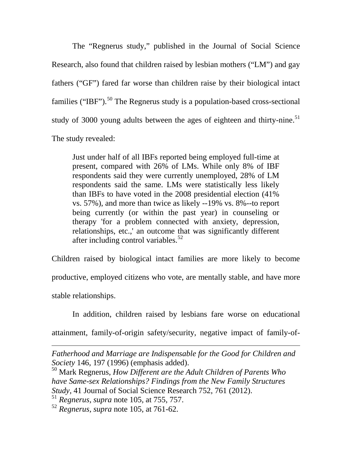The "Regnerus study," published in the Journal of Social Science Research, also found that children raised by lesbian mothers ("LM") and gay fathers ("GF") fared far worse than children raise by their biological intact families ("IBF").<sup>[50](#page-27-0)</sup> The Regnerus study is a population-based cross-sectional study of 3000 young adults between the ages of eighteen and thirty-nine.<sup>[51](#page-27-1)</sup> The study revealed:

Just under half of all IBFs reported being employed full-time at present, compared with 26% of LMs. While only 8% of IBF respondents said they were currently unemployed, 28% of LM respondents said the same. LMs were statistically less likely than IBFs to have voted in the 2008 presidential election (41% vs. 57%), and more than twice as likely --19% vs. 8%--to report being currently (or within the past year) in counseling or therapy 'for a problem connected with anxiety, depression, relationships, etc.,' an outcome that was significantly different after including control variables.<sup>[52](#page-27-2)</sup>

Children raised by biological intact families are more likely to become productive, employed citizens who vote, are mentally stable, and have more stable relationships.

In addition, children raised by lesbians fare worse on educational

attainment, family-of-origin safety/security, negative impact of family-of-

*Fatherhood and Marriage are Indispensable for the Good for Children and Society* 146, 197 (1996) (emphasis added).

<span id="page-27-0"></span><sup>50</sup> Mark Regnerus, *How Different are the Adult Children of Parents Who have Same-sex Relationships? Findings from the New Family Structures Study,* 41 Journal of Social Science Research 752, 761 (2012).

<sup>51</sup> *Regnerus, supra* note 105*,* at 755, 757.

 $\overline{a}$ 

<span id="page-27-2"></span><span id="page-27-1"></span><sup>52</sup> *Regnerus, supra* note 105*,* at 761-62.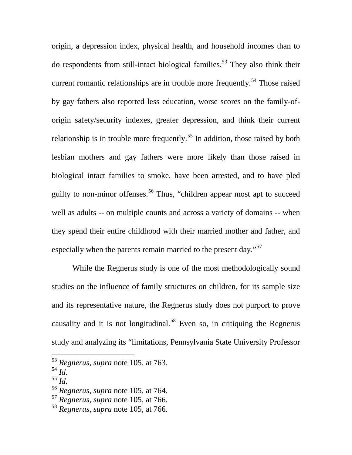origin, a depression index, physical health, and household incomes than to do respondents from still-intact biological families.<sup>[53](#page-28-0)</sup> They also think their current romantic relationships are in trouble more frequently.<sup>[54](#page-28-1)</sup> Those raised by gay fathers also reported less education, worse scores on the family-oforigin safety/security indexes, greater depression, and think their current relationship is in trouble more frequently.<sup>[55](#page-28-2)</sup> In addition, those raised by both lesbian mothers and gay fathers were more likely than those raised in biological intact families to smoke, have been arrested, and to have pled guilty to non-minor offenses.<sup>[56](#page-28-3)</sup> Thus, "children appear most apt to succeed well as adults -- on multiple counts and across a variety of domains -- when they spend their entire childhood with their married mother and father, and especially when the parents remain married to the present day."<sup>[57](#page-28-4)</sup>

While the Regnerus study is one of the most methodologically sound studies on the influence of family structures on children, for its sample size and its representative nature, the Regnerus study does not purport to prove causality and it is not longitudinal.<sup>[58](#page-28-5)</sup> Even so, in critiquing the Regnerus study and analyzing its "limitations, Pennsylvania State University Professor

<span id="page-28-2"></span><sup>55</sup> *Id.*

 <sup>53</sup> *Regnerus, supra* note 105*,* at 763.

<span id="page-28-1"></span><span id="page-28-0"></span><sup>54</sup> *Id.*

<span id="page-28-3"></span><sup>56</sup> *Regnerus, supra* note 105*,* at 764.

<span id="page-28-4"></span><sup>57</sup> *Regnerus, supra* note 105*,* at 766.

<span id="page-28-5"></span><sup>58</sup> *Regnerus, supra* note 105*,* at 766.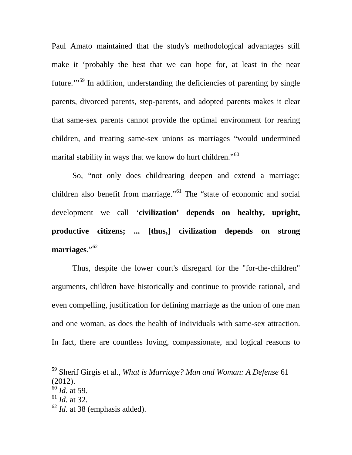Paul Amato maintained that the study's methodological advantages still make it 'probably the best that we can hope for, at least in the near future. $\cdot$ <sup>[59](#page-29-0)</sup>. In addition, understanding the deficiencies of parenting by single parents, divorced parents, step-parents, and adopted parents makes it clear that same-sex parents cannot provide the optimal environment for rearing children, and treating same-sex unions as marriages "would undermined marital stability in ways that we know do hurt children."<sup>[60](#page-29-1)</sup>

So, "not only does childrearing deepen and extend a marriage; children also benefit from marriage."<sup>[61](#page-29-2)</sup> The "state of economic and social development we call '**civilization' depends on healthy, upright, productive citizens; ... [thus,] civilization depends on strong marriages**."[62](#page-29-3)

Thus, despite the lower court's disregard for the "for-the-children" arguments, children have historically and continue to provide rational, and even compelling, justification for defining marriage as the union of one man and one woman, as does the health of individuals with same-sex attraction. In fact, there are countless loving, compassionate, and logical reasons to

<span id="page-29-3"></span><sup>62</sup> *Id.* at 38 (emphasis added).

<span id="page-29-0"></span> <sup>59</sup> Sherif Girgis et al., *What is Marriage? Man and Woman: A Defense* <sup>61</sup> (2012).

<span id="page-29-1"></span><sup>60</sup> *Id.* at 59.

<span id="page-29-2"></span><sup>61</sup> *Id.* at 32.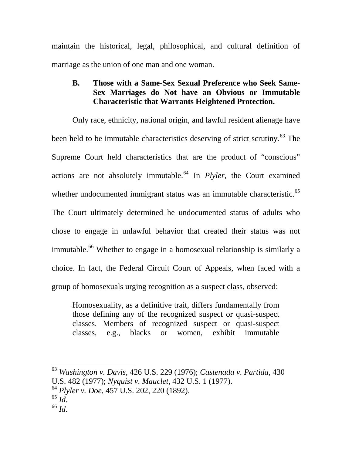maintain the historical, legal, philosophical, and cultural definition of marriage as the union of one man and one woman.

# **B. Those with a Same-Sex Sexual Preference who Seek Same-Sex Marriages do Not have an Obvious or Immutable Characteristic that Warrants Heightened Protection.**

Only race, ethnicity, national origin, and lawful resident alienage have been held to be immutable characteristics deserving of strict scrutiny.<sup>[63](#page-30-0)</sup> The Supreme Court held characteristics that are the product of "conscious" actions are not absolutely immutable.<sup>[64](#page-30-1)</sup> In *Plyler*, the Court examined whether undocumented immigrant status was an immutable characteristic.<sup>[65](#page-30-2)</sup> The Court ultimately determined he undocumented status of adults who chose to engage in unlawful behavior that created their status was not immutable.<sup>[66](#page-30-3)</sup> Whether to engage in a homosexual relationship is similarly a choice. In fact, the Federal Circuit Court of Appeals, when faced with a group of homosexuals urging recognition as a suspect class, observed:

Homosexuality, as a definitive trait, differs fundamentally from those defining any of the recognized suspect or quasi-suspect classes. Members of recognized suspect or quasi-suspect classes, e.g., blacks or women, exhibit immutable

<span id="page-30-0"></span>63 *Washington v. Davis,* 426 U.S. 229 (1976); *Castenada v. Partida,* <sup>430</sup>

U.S. 482 (1977); *Nyquist v. Mauclet,* 432 U.S. 1 (1977).

<span id="page-30-1"></span><sup>64</sup> *Plyler v. Doe,* 457 U.S. 202, 220 (1892).

<span id="page-30-2"></span><sup>65</sup> *Id.* 

<span id="page-30-3"></span><sup>66</sup> *Id.*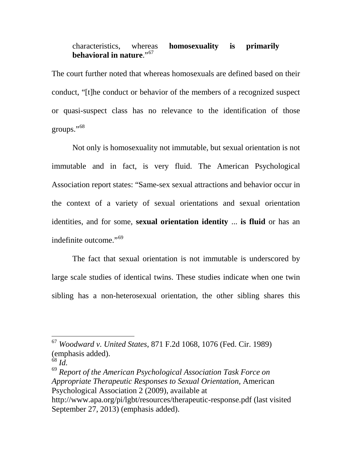### characteristics, whereas **homosexuality is primarily behavioral in nature**."[67](#page-31-0)

The court further noted that whereas homosexuals are defined based on their conduct, "[t]he conduct or behavior of the members of a recognized suspect or quasi-suspect class has no relevance to the identification of those groups."[68](#page-31-1)

Not only is homosexuality not immutable, but sexual orientation is not immutable and in fact, is very fluid. The American Psychological Association report states: "Same-sex sexual attractions and behavior occur in the context of a variety of sexual orientations and sexual orientation identities, and for some, **sexual orientation identity** ... **is fluid** or has an indefinite outcome."[69](#page-31-2)

The fact that sexual orientation is not immutable is underscored by large scale studies of identical twins. These studies indicate when one twin sibling has a non-heterosexual orientation, the other sibling shares this

<span id="page-31-2"></span><sup>69</sup> *Report of the American Psychological Association Task Force on Appropriate Therapeutic Responses to Sexual Orientation,* American Psychological Association 2 (2009), available at http://www.apa.org/pi/lgbt/resources/therapeutic-response.pdf (last visited September 27, 2013) (emphasis added).

<span id="page-31-0"></span> <sup>67</sup> *Woodward v. United States*, 871 F.2d 1068, 1076 (Fed. Cir. 1989) (emphasis added).

<span id="page-31-1"></span><sup>68</sup> *Id.*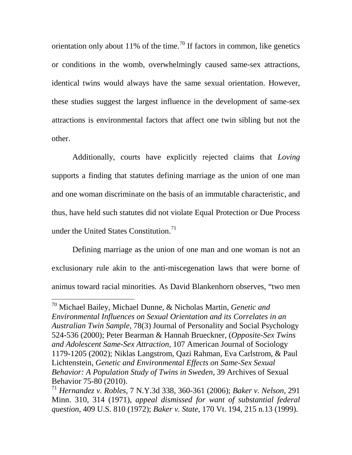orientation only about 11% of the time.<sup>[70](#page-32-0)</sup> If factors in common, like genetics or conditions in the womb, overwhelmingly caused same-sex attractions, identical twins would always have the same sexual orientation. However, these studies suggest the largest influence in the development of same-sex attractions is environmental factors that affect one twin sibling but not the other.

Additionally, courts have explicitly rejected claims that *Loving* supports a finding that statutes defining marriage as the union of one man and one woman discriminate on the basis of an immutable characteristic, and thus, have held such statutes did not violate Equal Protection or Due Process under the United States Constitution.<sup>[71](#page-32-1)</sup>

Defining marriage as the union of one man and one woman is not an exclusionary rule akin to the anti-miscegenation laws that were borne of animus toward racial minorities. As David Blankenhorn observes, "two men

<span id="page-32-0"></span> <sup>70</sup> Michael Bailey, Michael Dunne, & Nicholas Martin, *Genetic and Environmental Influences on Sexual Orientation and its Correlates in an Australian Twin Sample*, 78(3) Journal of Personality and Social Psychology 524-536 (2000); Peter Bearman & Hannah Brueckner, (*Opposite-Sex Twins and Adolescent Same-Sex Attraction,* 107 American Journal of Sociology 1179-1205 (2002); Niklas Langstrom, Qazi Rahman, Eva Carlstrom, & Paul Lichtenstein, *Genetic and Environmental Effects on Same-Sex Sexual Behavior: A Population Study of Twins in Sweden,* 39 Archives of Sexual Behavior 75-80 (2010).

<span id="page-32-1"></span><sup>71</sup> *Hernandez v. Robles,* 7 N.Y.3d 338, 360-361 (2006); *Baker v. Nelson,* 291 Minn. 310, 314 (1971), *appeal dismissed for want of substantial federal question*, 409 U.S. 810 (1972); *Baker v. State,* 170 Vt. 194, 215 n.13 (1999).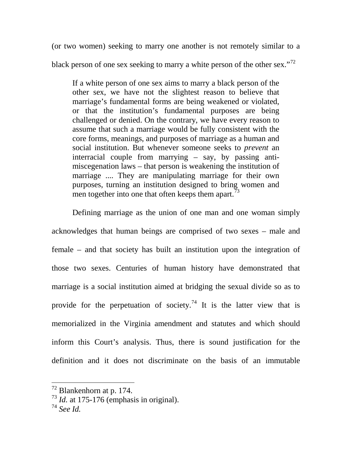(or two women) seeking to marry one another is not remotely similar to a black person of one sex seeking to marry a white person of the other sex."<sup>[72](#page-33-0)</sup>

If a white person of one sex aims to marry a black person of the other sex, we have not the slightest reason to believe that marriage's fundamental forms are being weakened or violated, or that the institution's fundamental purposes are being challenged or denied. On the contrary, we have every reason to assume that such a marriage would be fully consistent with the core forms, meanings, and purposes of marriage as a human and social institution. But whenever someone seeks to *prevent* an interracial couple from marrying – say, by passing antimiscegenation laws – that person is weakening the institution of marriage .... They are manipulating marriage for their own purposes, turning an institution designed to bring women and men together into one that often keeps them apart.<sup>[73](#page-33-1)</sup>

Defining marriage as the union of one man and one woman simply acknowledges that human beings are comprised of two sexes – male and female – and that society has built an institution upon the integration of those two sexes. Centuries of human history have demonstrated that marriage is a social institution aimed at bridging the sexual divide so as to provide for the perpetuation of society.<sup>[74](#page-33-2)</sup> It is the latter view that is memorialized in the Virginia amendment and statutes and which should inform this Court's analysis. Thus, there is sound justification for the definition and it does not discriminate on the basis of an immutable

<span id="page-33-0"></span> <sup>72</sup> Blankenhorn at p. 174.

<span id="page-33-1"></span> $^{73}$  *Id.* at 175-176 (emphasis in original).

<span id="page-33-2"></span><sup>74</sup> *See Id.*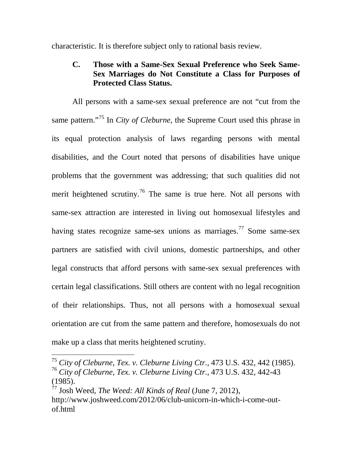characteristic. It is therefore subject only to rational basis review.

# **C. Those with a Same-Sex Sexual Preference who Seek Same-Sex Marriages do Not Constitute a Class for Purposes of Protected Class Status.**

All persons with a same-sex sexual preference are not "cut from the same pattern."[75](#page-34-0) In *City of Cleburne,* the Supreme Court used this phrase in its equal protection analysis of laws regarding persons with mental disabilities, and the Court noted that persons of disabilities have unique problems that the government was addressing; that such qualities did not merit heightened scrutiny.<sup>[76](#page-34-1)</sup> The same is true here. Not all persons with same-sex attraction are interested in living out homosexual lifestyles and having states recognize same-sex unions as marriages.<sup>[77](#page-34-2)</sup> Some same-sex partners are satisfied with civil unions, domestic partnerships, and other legal constructs that afford persons with same-sex sexual preferences with certain legal classifications. Still others are content with no legal recognition of their relationships. Thus, not all persons with a homosexual sexual orientation are cut from the same pattern and therefore, homosexuals do not make up a class that merits heightened scrutiny.

<span id="page-34-1"></span><span id="page-34-0"></span> <sup>75</sup> *City of Cleburne, Tex. v. Cleburne Living Ctr.,* 473 U.S. 432, 442 (1985). <sup>76</sup> *City of Cleburne, Tex. v. Cleburne Living Ctr.,* 473 U.S. 432, 442-43 (1985).

<span id="page-34-2"></span><sup>77</sup> Josh Weed, *The Weed: All Kinds of Real* (June 7, 2012), http://www.joshweed.com/2012/06/club-unicorn-in-which-i-come-outof.html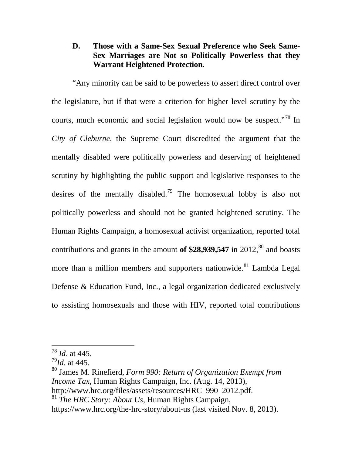## **D. Those with a Same-Sex Sexual Preference who Seek Same-Sex Marriages are Not so Politically Powerless that they Warrant Heightened Protection***.*

"Any minority can be said to be powerless to assert direct control over the legislature, but if that were a criterion for higher level scrutiny by the courts, much economic and social legislation would now be suspect."[78](#page-35-0) In *City of Cleburne,* the Supreme Court discredited the argument that the mentally disabled were politically powerless and deserving of heightened scrutiny by highlighting the public support and legislative responses to the desires of the mentally disabled.<sup>[79](#page-35-1)</sup> The homosexual lobby is also not politically powerless and should not be granted heightened scrutiny. The Human Rights Campaign, a homosexual activist organization, reported total contributions and grants in the amount of  $$28,939,547$  in 2012,<sup>[80](#page-35-2)</sup> and boasts more than a million members and supporters nationwide.<sup>[81](#page-35-3)</sup> Lambda Legal Defense & Education Fund, Inc., a legal organization dedicated exclusively to assisting homosexuals and those with HIV, reported total contributions

<span id="page-35-0"></span> <sup>78</sup> *Id*. at 445.

<span id="page-35-1"></span><sup>79</sup>*Id.* at 445.

<span id="page-35-2"></span><sup>80</sup> James M. Rinefierd, *Form 990: Return of Organization Exempt from Income Tax*, Human Rights Campaign, Inc. (Aug. 14, 2013), http://www.hrc.org/files/assets/resources/HRC\_990\_2012.pdf. <sup>81</sup> *The HRC Story: About Us*, Human Rights Campaign,

<span id="page-35-3"></span>https://www.hrc.org/the-hrc-story/about-us (last visited Nov. 8, 2013).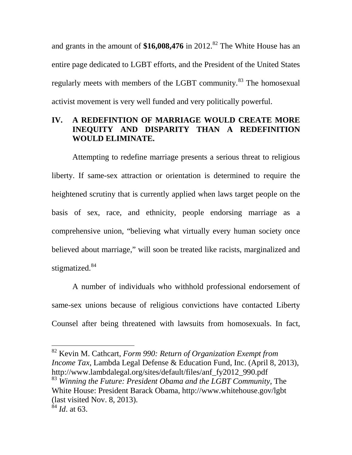and grants in the amount of  $$16,008,476$  in 2012.<sup>[82](#page-36-0)</sup> The White House has an entire page dedicated to LGBT efforts, and the President of the United States regularly meets with members of the LGBT community.<sup>[83](#page-36-1)</sup> The homosexual activist movement is very well funded and very politically powerful.

# **IV. A REDEFINTION OF MARRIAGE WOULD CREATE MORE INEQUITY AND DISPARITY THAN A REDEFINITION WOULD ELIMINATE.**

Attempting to redefine marriage presents a serious threat to religious liberty. If same-sex attraction or orientation is determined to require the heightened scrutiny that is currently applied when laws target people on the basis of sex, race, and ethnicity, people endorsing marriage as a comprehensive union, "believing what virtually every human society once believed about marriage," will soon be treated like racists, marginalized and stigmatized.<sup>[84](#page-36-2)</sup>

A number of individuals who withhold professional endorsement of same-sex unions because of religious convictions have contacted Liberty Counsel after being threatened with lawsuits from homosexuals. In fact,

<span id="page-36-0"></span> 82 Kevin M. Cathcart, *Form 990: Return of Organization Exempt from Income Tax, Lambda Legal Defense & Education Fund, Inc. (April 8, 2013),* http://www.lambdalegal.org/sites/default/files/anf\_fy2012\_990.pdf <sup>83</sup> *Winning the Future: President Obama and the LGBT Community*, The White House: President Barack Obama, http://www.whitehouse.gov/lgbt (last visited Nov. 8, 2013).

<span id="page-36-2"></span><span id="page-36-1"></span> $^{84}$  *Id.* at 63.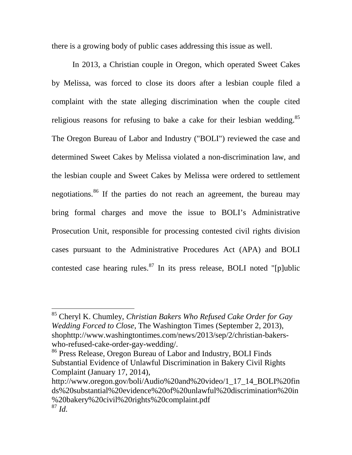there is a growing body of public cases addressing this issue as well.

In 2013, a Christian couple in Oregon, which operated Sweet Cakes by Melissa, was forced to close its doors after a lesbian couple filed a complaint with the state alleging discrimination when the couple cited religious reasons for refusing to bake a cake for their lesbian wedding.<sup>[85](#page-37-0)</sup> The Oregon Bureau of Labor and Industry ("BOLI") reviewed the case and determined Sweet Cakes by Melissa violated a non-discrimination law, and the lesbian couple and Sweet Cakes by Melissa were ordered to settlement negotiations.<sup>[86](#page-37-1)</sup> If the parties do not reach an agreement, the bureau may bring formal charges and move the issue to BOLI's Administrative Prosecution Unit, responsible for processing contested civil rights division cases pursuant to the Administrative Procedures Act (APA) and BOLI contested case hearing rules.<sup>[87](#page-37-2)</sup> In its press release, BOLI noted "[p]ublic

<span id="page-37-0"></span> <sup>85</sup> Cheryl K. Chumley, *Christian Bakers Who Refused Cake Order for Gay Wedding Forced to Close*, The Washington Times (September 2, 2013), shophttp://www.washingtontimes.com/news/2013/sep/2/christian-bakerswho-refused-cake-order-gay-wedding/.

<span id="page-37-1"></span><sup>86</sup> Press Release, Oregon Bureau of Labor and Industry, BOLI Finds Substantial Evidence of Unlawful Discrimination in Bakery Civil Rights Complaint (January 17, 2014),

<span id="page-37-2"></span>http://www.oregon.gov/boli/Audio%20and%20video/1\_17\_14\_BOLI%20fin ds%20substantial%20evidence%20of%20unlawful%20discrimination%20in %20bakery%20civil%20rights%20complaint.pdf <sup>87</sup> *Id.*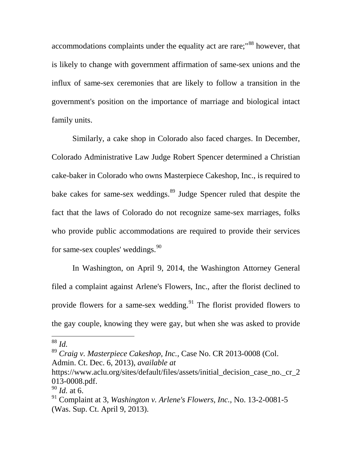accommodations complaints under the equality act are rare;"<sup>[88](#page-38-0)</sup> however, that is likely to change with government affirmation of same-sex unions and the influx of same-sex ceremonies that are likely to follow a transition in the government's position on the importance of marriage and biological intact family units.

Similarly, a cake shop in Colorado also faced charges. In December, Colorado Administrative Law Judge Robert Spencer determined a Christian cake-baker in Colorado who owns Masterpiece Cakeshop, Inc., is required to bake cakes for same-sex weddings. [89](#page-38-1) Judge Spencer ruled that despite the fact that the laws of Colorado do not recognize same-sex marriages, folks who provide public accommodations are required to provide their services for same-sex couples' weddings.<sup>[90](#page-38-2)</sup>

In Washington, on April 9, 2014, the Washington Attorney General filed a complaint against Arlene's Flowers, Inc., after the florist declined to provide flowers for a same-sex wedding.<sup>[91](#page-38-3)</sup> The florist provided flowers to the gay couple, knowing they were gay, but when she was asked to provide

<span id="page-38-0"></span> <sup>88</sup> *Id.*

<span id="page-38-1"></span><sup>89</sup> *Craig v. Masterpiece Cakeshop, Inc.,* Case No. CR 2013-0008 (Col. Admin. Ct. Dec. 6, 2013), *available at* 

https://www.aclu.org/sites/default/files/assets/initial\_decision\_case\_no.\_cr\_2 013-0008.pdf.

<span id="page-38-2"></span><sup>90</sup> *Id.* at 6.

<span id="page-38-3"></span><sup>91</sup> Complaint at 3, *Washington v. Arlene's Flowers, Inc.,* No. 13-2-0081-5 (Was. Sup. Ct. April 9, 2013).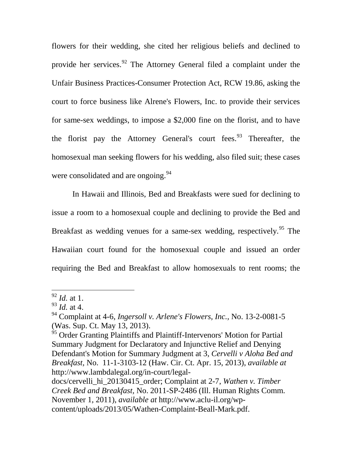flowers for their wedding, she cited her religious beliefs and declined to provide her services.<sup>[92](#page-39-0)</sup> The Attorney General filed a complaint under the Unfair Business Practices-Consumer Protection Act, RCW 19.86, asking the court to force business like Alrene's Flowers, Inc. to provide their services for same-sex weddings, to impose a \$2,000 fine on the florist, and to have the florist pay the Attorney General's court fees.<sup>[93](#page-39-1)</sup> Thereafter, the homosexual man seeking flowers for his wedding, also filed suit; these cases were consolidated and are ongoing.<sup>[94](#page-39-2)</sup>

In Hawaii and Illinois, Bed and Breakfasts were sued for declining to issue a room to a homosexual couple and declining to provide the Bed and Breakfast as wedding venues for a same-sex wedding, respectively.<sup>[95](#page-39-3)</sup> The Hawaiian court found for the homosexual couple and issued an order requiring the Bed and Breakfast to allow homosexuals to rent rooms; the

<span id="page-39-0"></span> <sup>92</sup> *Id.* at 1.

<span id="page-39-1"></span><sup>93</sup> *Id.* at 4.

<span id="page-39-2"></span><sup>94</sup> Complaint at 4-6, *Ingersoll v. Arlene's Flowers, Inc.,* No. 13-2-0081-5 (Was. Sup. Ct. May 13, 2013).

<span id="page-39-3"></span><sup>&</sup>lt;sup>95</sup> Order Granting Plaintiffs and Plaintiff-Intervenors' Motion for Partial Summary Judgment for Declaratory and Injunctive Relief and Denying Defendant's Motion for Summary Judgment at 3, *Cervelli v Aloha Bed and Breakfast,* No. 11-1-3103-12 (Haw. Cir. Ct. Apr. 15, 2013), *available at*  http://www.lambdalegal.org/in-court/legal-

docs/cervelli\_hi\_20130415\_order; Complaint at 2-7, *Wathen v. Timber Creek Bed and Breakfast,* No. 2011-SP-2486 (Ill. Human Rights Comm. November 1, 2011), *available at* http://www.aclu-il.org/wpcontent/uploads/2013/05/Wathen-Complaint-Beall-Mark.pdf.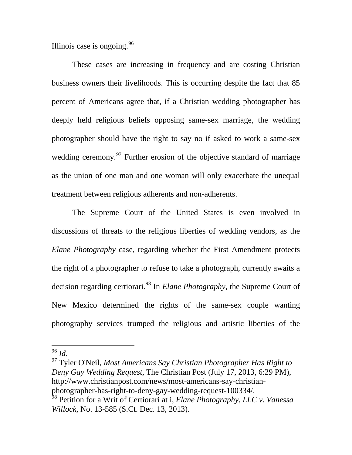Illinois case is ongoing.  $96$ 

These cases are increasing in frequency and are costing Christian business owners their livelihoods. This is occurring despite the fact that 85 percent of Americans agree that, if a Christian wedding photographer has deeply held religious beliefs opposing same-sex marriage, the wedding photographer should have the right to say no if asked to work a same-sex wedding ceremony.<sup>[97](#page-40-1)</sup> Further erosion of the objective standard of marriage as the union of one man and one woman will only exacerbate the unequal treatment between religious adherents and non-adherents.

The Supreme Court of the United States is even involved in discussions of threats to the religious liberties of wedding vendors, as the *Elane Photography* case, regarding whether the First Amendment protects the right of a photographer to refuse to take a photograph, currently awaits a decision regarding certiorari. [98](#page-40-2) In *Elane Photography,* the Supreme Court of New Mexico determined the rights of the same-sex couple wanting photography services trumped the religious and artistic liberties of the

<span id="page-40-1"></span><sup>97</sup> Tyler O'Neil, *Most Americans Say Christian Photographer Has Right to Deny Gay Wedding Request,* The Christian Post (July 17, 2013, 6:29 PM), http://www.christianpost.com/news/most-americans-say-christianphotographer-has-right-to-deny-gay-wedding-request-100334/.

<span id="page-40-0"></span> <sup>96</sup> *Id.*

<span id="page-40-2"></span><sup>98</sup> Petition for a Writ of Certiorari at i, *Elane Photography, LLC v. Vanessa Willock,* No. 13-585 (S.Ct. Dec. 13, 2013).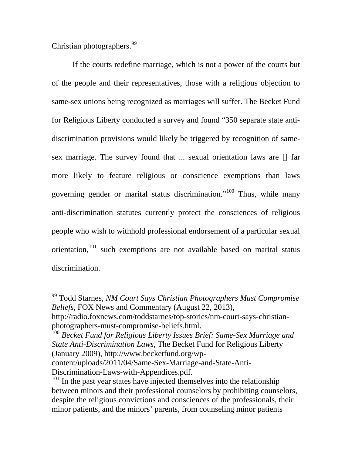Christian photographers.<sup>[99](#page-41-0)</sup>

If the courts redefine marriage, which is not a power of the courts but of the people and their representatives, those with a religious objection to same-sex unions being recognized as marriages will suffer. The Becket Fund for Religious Liberty conducted a survey and found "350 separate state antidiscrimination provisions would likely be triggered by recognition of samesex marriage. The survey found that ... sexual orientation laws are [] far more likely to feature religious or conscience exemptions than laws governing gender or marital status discrimination."[100](#page-41-1) Thus, while many anti-discrimination statutes currently protect the consciences of religious people who wish to withhold professional endorsement of a particular sexual orientation,<sup>[101](#page-41-2)</sup> such exemptions are not available based on marital status discrimination.

<span id="page-41-0"></span> <sup>99</sup> Todd Starnes, *NM Court Says Christian Photographers Must Compromise Beliefs*, FOX News and Commentary (August 22, 2013),

http://radio.foxnews.com/toddstarnes/top-stories/nm-court-says-christianphotographers-must-compromise-beliefs.html.

<span id="page-41-1"></span><sup>100</sup> *Becket Fund for Religious Liberty Issues Brief: Same-Sex Marriage and State Anti-Discrimination Laws*, The Becket Fund for Religious Liberty (January 2009), http://www.becketfund.org/wp-

content/uploads/2011/04/Same-Sex-Marriage-and-State-Anti-Discrimination-Laws-with-Appendices.pdf.

<span id="page-41-2"></span><sup>&</sup>lt;sup>101</sup> In the past year states have injected themselves into the relationship between minors and their professional counselors by prohibiting counselors, despite the religious convictions and consciences of the professionals, their minor patients, and the minors' parents, from counseling minor patients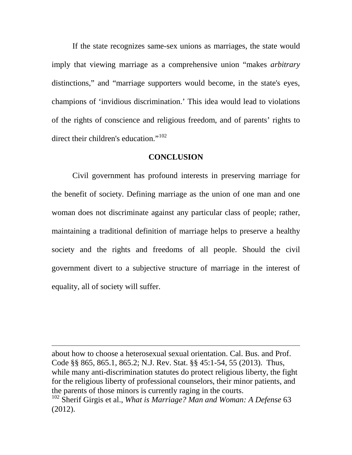If the state recognizes same-sex unions as marriages, the state would imply that viewing marriage as a comprehensive union "makes *arbitrary*  distinctions," and "marriage supporters would become, in the state's eyes, champions of 'invidious discrimination.' This idea would lead to violations of the rights of conscience and religious freedom, and of parents' rights to direct their children's education."<sup>[102](#page-42-0)</sup>

#### **CONCLUSION**

Civil government has profound interests in preserving marriage for the benefit of society. Defining marriage as the union of one man and one woman does not discriminate against any particular class of people; rather, maintaining a traditional definition of marriage helps to preserve a healthy society and the rights and freedoms of all people. Should the civil government divert to a subjective structure of marriage in the interest of equality, all of society will suffer.

about how to choose a heterosexual sexual orientation. Cal. Bus. and Prof. Code §§ 865, 865.1, 865.2; N.J. Rev. Stat. §§ 45:1-54, 55 (2013). Thus, while many anti-discrimination statutes do protect religious liberty, the fight for the religious liberty of professional counselors, their minor patients, and the parents of those minors is currently raging in the courts.

 $\overline{a}$ 

<span id="page-42-0"></span><sup>102</sup> Sherif Girgis et al., *What is Marriage? Man and Woman: A Defense* 63 (2012).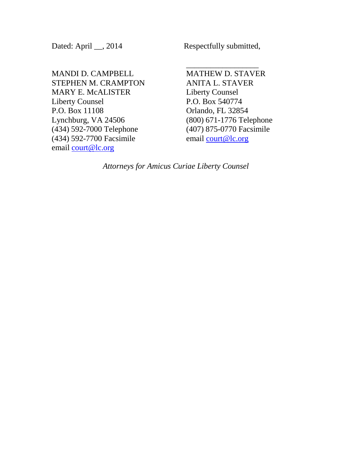MANDI D. CAMPBELL STEPHEN M. CRAMPTON MARY E. McALISTER Liberty Counsel P.O. Box 11108 Lynchburg, VA 24506 (434) 592-7000 Telephone (434) 592-7700 Facsimile email [court@lc.org](mailto:court@lc.org)

Dated: April \_\_, 2014 Respectfully submitted,

 $\overline{\phantom{a}}$  , where  $\overline{\phantom{a}}$ MATHEW D. STAVER ANITA L. STAVER Liberty Counsel P.O. Box 540774 Orlando, FL 32854 (800) 671-1776 Telephone (407) 875-0770 Facsimile email [court@lc.org](mailto:court@lc.org)

*Attorneys for Amicus Curiae Liberty Counsel*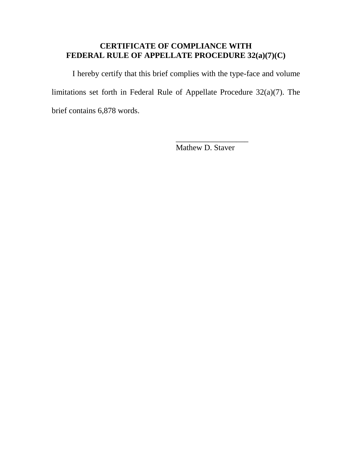# **CERTIFICATE OF COMPLIANCE WITH FEDERAL RULE OF APPELLATE PROCEDURE 32(a)(7)(C)**

I hereby certify that this brief complies with the type-face and volume limitations set forth in Federal Rule of Appellate Procedure 32(a)(7). The brief contains 6,878 words.

Mathew D. Staver

 $\overline{\phantom{a}}$  , where  $\overline{\phantom{a}}$